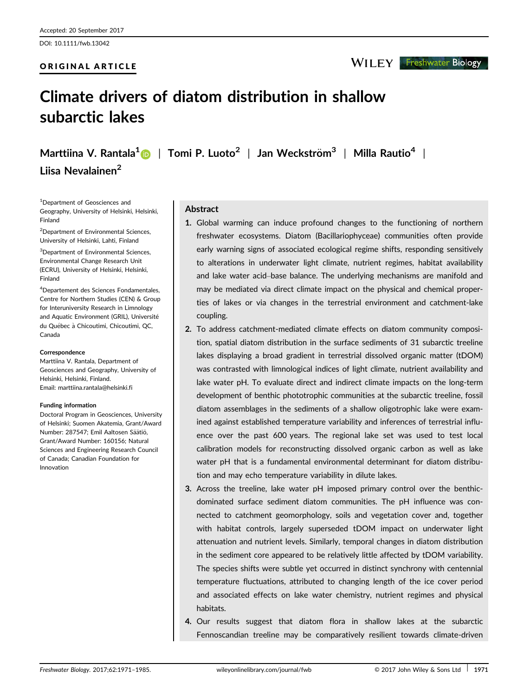# ORIGINAL ARTICLE

# Climate drivers of diatom distribution in shallow subarctic lakes

Marttiina V. Rantala<sup>[1](http://orcid.org/0000-0002-3231-5926)</sup> | Tomi P. Luoto<sup>2</sup> | Jan Weckström<sup>3</sup> | Milla Rautio<sup>4</sup> | Liisa Nevalainen<sup>2</sup>

1 Department of Geosciences and Geography, University of Helsinki, Helsinki, Finland

2 Department of Environmental Sciences, University of Helsinki, Lahti, Finland

3 Department of Environmental Sciences, Environmental Change Research Unit (ECRU), University of Helsinki, Helsinki, Finland

4 Departement des Sciences Fondamentales, Centre for Northern Studies (CEN) & Group for Interuniversity Research in Limnology and Aquatic Environment (GRIL), Université du Québec à Chicoutimi, Chicoutimi, QC, Canada

#### **Correspondence**

Marttiina V. Rantala, Department of Geosciences and Geography, University of Helsinki, Helsinki, Finland. Email: marttiina.rantala@helsinki.fi

#### Funding information

Doctoral Program in Geosciences, University of Helsinki; Suomen Akatemia, Grant/Award Number: 287547; Emil Aaltosen Säätiö, Grant/Award Number: 160156; Natural Sciences and Engineering Research Council of Canada; Canadian Foundation for Innovation

## Abstract

- 1. Global warming can induce profound changes to the functioning of northern freshwater ecosystems. Diatom (Bacillariophyceae) communities often provide early warning signs of associated ecological regime shifts, responding sensitively to alterations in underwater light climate, nutrient regimes, habitat availability and lake water acid–base balance. The underlying mechanisms are manifold and may be mediated via direct climate impact on the physical and chemical properties of lakes or via changes in the terrestrial environment and catchment-lake coupling.
- 2. To address catchment-mediated climate effects on diatom community composition, spatial diatom distribution in the surface sediments of 31 subarctic treeline lakes displaying a broad gradient in terrestrial dissolved organic matter (tDOM) was contrasted with limnological indices of light climate, nutrient availability and lake water pH. To evaluate direct and indirect climate impacts on the long-term development of benthic phototrophic communities at the subarctic treeline, fossil diatom assemblages in the sediments of a shallow oligotrophic lake were examined against established temperature variability and inferences of terrestrial influence over the past 600 years. The regional lake set was used to test local calibration models for reconstructing dissolved organic carbon as well as lake water pH that is a fundamental environmental determinant for diatom distribution and may echo temperature variability in dilute lakes.
- 3. Across the treeline, lake water pH imposed primary control over the benthicdominated surface sediment diatom communities. The pH influence was connected to catchment geomorphology, soils and vegetation cover and, together with habitat controls, largely superseded tDOM impact on underwater light attenuation and nutrient levels. Similarly, temporal changes in diatom distribution in the sediment core appeared to be relatively little affected by tDOM variability. The species shifts were subtle yet occurred in distinct synchrony with centennial temperature fluctuations, attributed to changing length of the ice cover period and associated effects on lake water chemistry, nutrient regimes and physical habitats.
- 4. Our results suggest that diatom flora in shallow lakes at the subarctic Fennoscandian treeline may be comparatively resilient towards climate-driven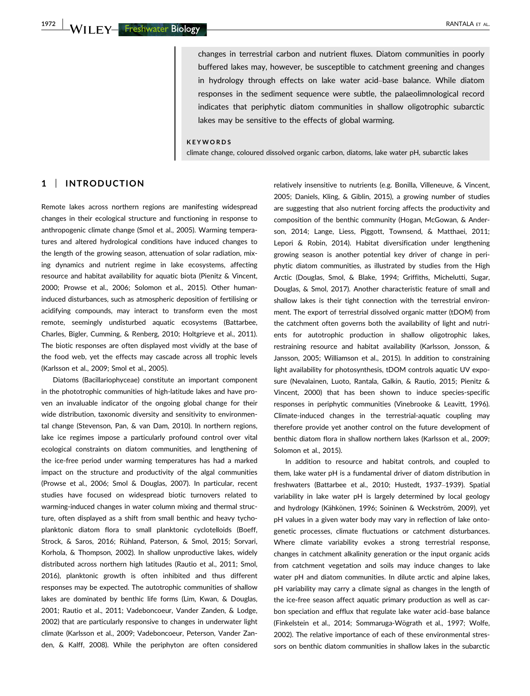changes in terrestrial carbon and nutrient fluxes. Diatom communities in poorly buffered lakes may, however, be susceptible to catchment greening and changes in hydrology through effects on lake water acid–base balance. While diatom responses in the sediment sequence were subtle, the palaeolimnological record indicates that periphytic diatom communities in shallow oligotrophic subarctic lakes may be sensitive to the effects of global warming.

#### **KEYWORDS**

climate change, coloured dissolved organic carbon, diatoms, lake water pH, subarctic lakes

## 1 | INTRODUCTION

Remote lakes across northern regions are manifesting widespread changes in their ecological structure and functioning in response to anthropogenic climate change (Smol et al., 2005). Warming temperatures and altered hydrological conditions have induced changes to the length of the growing season, attenuation of solar radiation, mixing dynamics and nutrient regime in lake ecosystems, affecting resource and habitat availability for aquatic biota (Pienitz & Vincent, 2000; Prowse et al., 2006; Solomon et al., 2015). Other humaninduced disturbances, such as atmospheric deposition of fertilising or acidifying compounds, may interact to transform even the most remote, seemingly undisturbed aquatic ecosystems (Battarbee, Charles, Bigler, Cumming, & Renberg, 2010; Holtgrieve et al., 2011). The biotic responses are often displayed most vividly at the base of the food web, yet the effects may cascade across all trophic levels (Karlsson et al., 2009; Smol et al., 2005).

Diatoms (Bacillariophyceae) constitute an important component in the phototrophic communities of high-latitude lakes and have proven an invaluable indicator of the ongoing global change for their wide distribution, taxonomic diversity and sensitivity to environmental change (Stevenson, Pan, & van Dam, 2010). In northern regions, lake ice regimes impose a particularly profound control over vital ecological constraints on diatom communities, and lengthening of the ice-free period under warming temperatures has had a marked impact on the structure and productivity of the algal communities (Prowse et al., 2006; Smol & Douglas, 2007). In particular, recent studies have focused on widespread biotic turnovers related to warming-induced changes in water column mixing and thermal structure, often displayed as a shift from small benthic and heavy tychoplanktonic diatom flora to small planktonic cyclotelloids (Boeff, Strock, & Saros, 2016; Rühland, Paterson, & Smol, 2015; Sorvari, Korhola, & Thompson, 2002). In shallow unproductive lakes, widely distributed across northern high latitudes (Rautio et al., 2011; Smol, 2016), planktonic growth is often inhibited and thus different responses may be expected. The autotrophic communities of shallow lakes are dominated by benthic life forms (Lim, Kwan, & Douglas, 2001; Rautio et al., 2011; Vadeboncoeur, Vander Zanden, & Lodge, 2002) that are particularly responsive to changes in underwater light climate (Karlsson et al., 2009; Vadeboncoeur, Peterson, Vander Zanden, & Kalff, 2008). While the periphyton are often considered relatively insensitive to nutrients (e.g. Bonilla, Villeneuve, & Vincent, 2005; Daniels, Kling, & Giblin, 2015), a growing number of studies are suggesting that also nutrient forcing affects the productivity and composition of the benthic community (Hogan, McGowan, & Anderson, 2014; Lange, Liess, Piggott, Townsend, & Matthaei, 2011; Lepori & Robin, 2014). Habitat diversification under lengthening growing season is another potential key driver of change in periphytic diatom communities, as illustrated by studies from the High Arctic (Douglas, Smol, & Blake, 1994; Griffiths, Michelutti, Sugar, Douglas, & Smol, 2017). Another characteristic feature of small and shallow lakes is their tight connection with the terrestrial environment. The export of terrestrial dissolved organic matter (tDOM) from the catchment often governs both the availability of light and nutrients for autotrophic production in shallow oligotrophic lakes, restraining resource and habitat availability (Karlsson, Jonsson, & Jansson, 2005; Williamson et al., 2015). In addition to constraining light availability for photosynthesis, tDOM controls aquatic UV exposure (Nevalainen, Luoto, Rantala, Galkin, & Rautio, 2015; Pienitz & Vincent, 2000) that has been shown to induce species-specific responses in periphytic communities (Vinebrooke & Leavitt, 1996). Climate-induced changes in the terrestrial-aquatic coupling may therefore provide yet another control on the future development of benthic diatom flora in shallow northern lakes (Karlsson et al., 2009; Solomon et al., 2015).

In addition to resource and habitat controls, and coupled to them, lake water pH is a fundamental driver of diatom distribution in freshwaters (Battarbee et al., 2010; Hustedt, 1937–1939). Spatial variability in lake water pH is largely determined by local geology and hydrology (Kähkönen, 1996; Soininen & Weckström, 2009), yet pH values in a given water body may vary in reflection of lake ontogenetic processes, climate fluctuations or catchment disturbances. Where climate variability evokes a strong terrestrial response, changes in catchment alkalinity generation or the input organic acids from catchment vegetation and soils may induce changes to lake water pH and diatom communities. In dilute arctic and alpine lakes, pH variability may carry a climate signal as changes in the length of the ice-free season affect aquatic primary production as well as carbon speciation and efflux that regulate lake water acid–base balance (Finkelstein et al., 2014; Sommaruga-Wögrath et al., 1997; Wolfe, 2002). The relative importance of each of these environmental stressors on benthic diatom communities in shallow lakes in the subarctic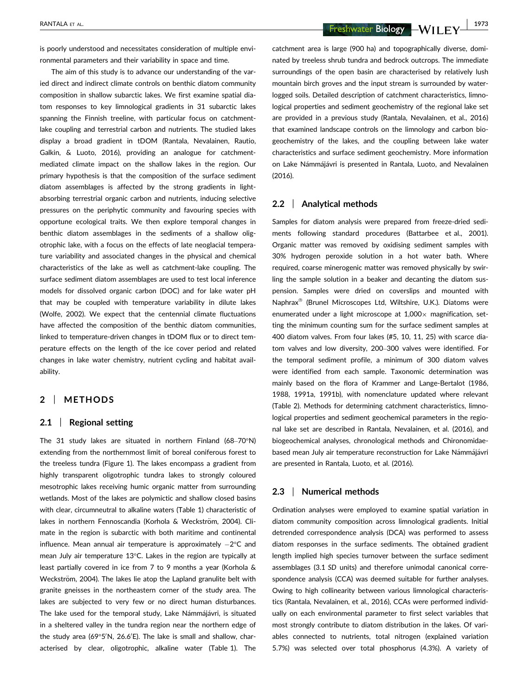RANTALA ET AL. | 1973

is poorly understood and necessitates consideration of multiple environmental parameters and their variability in space and time.

The aim of this study is to advance our understanding of the varied direct and indirect climate controls on benthic diatom community composition in shallow subarctic lakes. We first examine spatial diatom responses to key limnological gradients in 31 subarctic lakes spanning the Finnish treeline, with particular focus on catchmentlake coupling and terrestrial carbon and nutrients. The studied lakes display a broad gradient in tDOM (Rantala, Nevalainen, Rautio, Galkin, & Luoto, 2016), providing an analogue for catchmentmediated climate impact on the shallow lakes in the region. Our primary hypothesis is that the composition of the surface sediment diatom assemblages is affected by the strong gradients in lightabsorbing terrestrial organic carbon and nutrients, inducing selective pressures on the periphytic community and favouring species with opportune ecological traits. We then explore temporal changes in benthic diatom assemblages in the sediments of a shallow oligotrophic lake, with a focus on the effects of late neoglacial temperature variability and associated changes in the physical and chemical characteristics of the lake as well as catchment-lake coupling. The surface sediment diatom assemblages are used to test local inference models for dissolved organic carbon (DOC) and for lake water pH that may be coupled with temperature variability in dilute lakes (Wolfe, 2002). We expect that the centennial climate fluctuations have affected the composition of the benthic diatom communities, linked to temperature-driven changes in tDOM flux or to direct temperature effects on the length of the ice cover period and related changes in lake water chemistry, nutrient cycling and habitat availability.

## 2 | METHODS

## 2.1 | Regional setting

The 31 study lakes are situated in northern Finland (68–70°N) extending from the northernmost limit of boreal coniferous forest to the treeless tundra (Figure 1). The lakes encompass a gradient from highly transparent oligotrophic tundra lakes to strongly coloured mesotrophic lakes receiving humic organic matter from surrounding wetlands. Most of the lakes are polymictic and shallow closed basins with clear, circumneutral to alkaline waters (Table 1) characteristic of lakes in northern Fennoscandia (Korhola & Weckström, 2004). Climate in the region is subarctic with both maritime and continental influence. Mean annual air temperature is approximately  $-2$ °C and mean July air temperature 13°C. Lakes in the region are typically at least partially covered in ice from 7 to 9 months a year (Korhola & Weckström, 2004). The lakes lie atop the Lapland granulite belt with granite gneisses in the northeastern corner of the study area. The lakes are subjected to very few or no direct human disturbances. The lake used for the temporal study, Lake Námmájávri, is situated in a sheltered valley in the tundra region near the northern edge of the study area (69°5'N, 26.6'E). The lake is small and shallow, characterised by clear, oligotrophic, alkaline water (Table 1). The catchment area is large (900 ha) and topographically diverse, dominated by treeless shrub tundra and bedrock outcrops. The immediate surroundings of the open basin are characterised by relatively lush mountain birch groves and the input stream is surrounded by waterlogged soils. Detailed description of catchment characteristics, limnological properties and sediment geochemistry of the regional lake set are provided in a previous study (Rantala, Nevalainen, et al., 2016) that examined landscape controls on the limnology and carbon biogeochemistry of the lakes, and the coupling between lake water characteristics and surface sediment geochemistry. More information on Lake Námmájávri is presented in Rantala, Luoto, and Nevalainen (2016).

## 2.2 | Analytical methods

Samples for diatom analysis were prepared from freeze-dried sediments following standard procedures (Battarbee et al., 2001). Organic matter was removed by oxidising sediment samples with 30% hydrogen peroxide solution in a hot water bath. Where required, coarse minerogenic matter was removed physically by swirling the sample solution in a beaker and decanting the diatom suspension. Samples were dried on coverslips and mounted with Naphrax<sup>®</sup> (Brunel Microscopes Ltd, Wiltshire, U.K.). Diatoms were enumerated under a light microscope at  $1,000 \times$  magnification, setting the minimum counting sum for the surface sediment samples at 400 diatom valves. From four lakes (#5, 10, 11, 25) with scarce diatom valves and low diversity, 200–300 valves were identified. For the temporal sediment profile, a minimum of 300 diatom valves were identified from each sample. Taxonomic determination was mainly based on the flora of Krammer and Lange-Bertalot (1986, 1988, 1991a, 1991b), with nomenclature updated where relevant (Table 2). Methods for determining catchment characteristics, limnological properties and sediment geochemical parameters in the regional lake set are described in Rantala, Nevalainen, et al. (2016), and biogeochemical analyses, chronological methods and Chironomidaebased mean July air temperature reconstruction for Lake Námmájávri are presented in Rantala, Luoto, et al. (2016).

## 2.3 | Numerical methods

Ordination analyses were employed to examine spatial variation in diatom community composition across limnological gradients. Initial detrended correspondence analysis (DCA) was performed to assess diatom responses in the surface sediments. The obtained gradient length implied high species turnover between the surface sediment assemblages (3.1 SD units) and therefore unimodal canonical correspondence analysis (CCA) was deemed suitable for further analyses. Owing to high collinearity between various limnological characteristics (Rantala, Nevalainen, et al., 2016), CCAs were performed individually on each environmental parameter to first select variables that most strongly contribute to diatom distribution in the lakes. Of variables connected to nutrients, total nitrogen (explained variation 5.7%) was selected over total phosphorus (4.3%). A variety of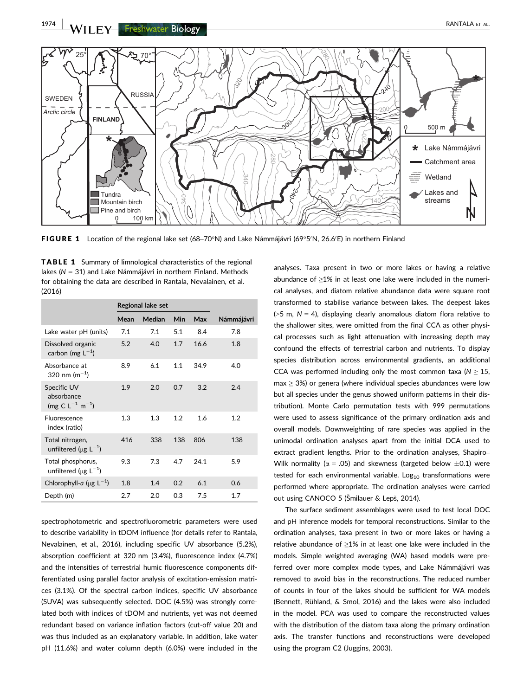

FIGURE 1 Location of the regional lake set (68–70°N) and Lake Námmájávri (69°5′N, 26.6′E) in northern Finland

TABLE 1 Summary of limnological characteristics of the regional lakes (N = 31) and Lake Námmájávri in northern Finland. Methods for obtaining the data are described in Rantala, Nevalainen, et al. (2016)

|                                                               | Regional lake set |        |     |      |            |
|---------------------------------------------------------------|-------------------|--------|-----|------|------------|
|                                                               | Mean              | Median | Min | Max  | Námmájávri |
| Lake water pH (units)                                         | 7.1               | 7.1    | 5.1 | 8.4  | 7.8        |
| Dissolved organic<br>carbon (mg $L^{-1}$ )                    | 5.2               | 4.0    | 1.7 | 16.6 | 1.8        |
| Absorbance at<br>320 nm (m <sup>-1</sup> )                    | 8.9               | 6.1    | 1.1 | 34.9 | 4.0        |
| Specific UV<br>absorbance<br>(mg C $L^{-1}$ m <sup>-1</sup> ) | 1.9               | 2.0    | 0.7 | 3.2  | 2.4        |
| Fluorescence<br>index (ratio)                                 | 1.3               | 1.3    | 1.2 | 1.6  | 1.2        |
| Total nitrogen,<br>unfiltered ( $\mu$ g L <sup>-1</sup> )     | 416               | 338    | 138 | 806  | 138        |
| Total phosphorus,<br>unfiltered ( $\mu$ g L <sup>-1</sup> )   | 9.3               | 7.3    | 4.7 | 24.1 | 5.9        |
| Chlorophyll-a ( $\mu$ g L <sup>-1</sup> )                     | 1.8               | 1.4    | 0.2 | 6.1  | 0.6        |
| Depth (m)                                                     | 2.7               | 2.0    | 0.3 | 7.5  | 1.7        |
|                                                               |                   |        |     |      |            |

spectrophotometric and spectrofluorometric parameters were used to describe variability in tDOM influence (for details refer to Rantala, Nevalainen, et al., 2016), including specific UV absorbance (5.2%), absorption coefficient at 320 nm (3.4%), fluorescence index (4.7%) and the intensities of terrestrial humic fluorescence components differentiated using parallel factor analysis of excitation-emission matrices (3.1%). Of the spectral carbon indices, specific UV absorbance (SUVA) was subsequently selected. DOC (4.5%) was strongly correlated both with indices of tDOM and nutrients, yet was not deemed redundant based on variance inflation factors (cut-off value 20) and was thus included as an explanatory variable. In addition, lake water pH (11.6%) and water column depth (6.0%) were included in the

analyses. Taxa present in two or more lakes or having a relative abundance of ≥1% in at least one lake were included in the numerical analyses, and diatom relative abundance data were square root transformed to stabilise variance between lakes. The deepest lakes ( $>5$  m,  $N = 4$ ), displaying clearly anomalous diatom flora relative to the shallower sites, were omitted from the final CCA as other physical processes such as light attenuation with increasing depth may confound the effects of terrestrial carbon and nutrients. To display species distribution across environmental gradients, an additional CCA was performed including only the most common taxa ( $N \geq 15$ ,  $max \geq 3\%$ ) or genera (where individual species abundances were low but all species under the genus showed uniform patterns in their distribution). Monte Carlo permutation tests with 999 permutations were used to assess significance of the primary ordination axis and overall models. Downweighting of rare species was applied in the unimodal ordination analyses apart from the initial DCA used to extract gradient lengths. Prior to the ordination analyses, Shapiro– Wilk normality ( $\alpha$  = .05) and skewness (targeted below  $\pm$ 0.1) were tested for each environmental variable.  $Log<sub>10</sub>$  transformations were performed where appropriate. The ordination analyses were carried out using CANOCO 5 (Šmilauer & Lepš, 2014).

The surface sediment assemblages were used to test local DOC and pH inference models for temporal reconstructions. Similar to the ordination analyses, taxa present in two or more lakes or having a relative abundance of ≥1% in at least one lake were included in the models. Simple weighted averaging (WA) based models were preferred over more complex mode types, and Lake Námmájávri was removed to avoid bias in the reconstructions. The reduced number of counts in four of the lakes should be sufficient for WA models (Bennett, Rühland, & Smol, 2016) and the lakes were also included in the model. PCA was used to compare the reconstructed values with the distribution of the diatom taxa along the primary ordination axis. The transfer functions and reconstructions were developed using the program C2 (Juggins, 2003).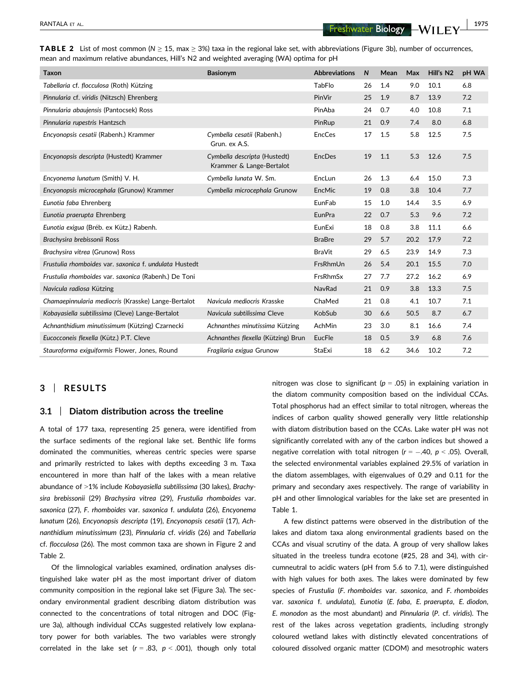RANTALA ET AL. 1975

| <b>TABLE 2</b> List of most common ( $N \ge 15$ , max $\ge 3\%$ ) taxa in the regional lake set, with abbreviations (Figure 3b), number of occurrences, |  |  |  |  |
|---------------------------------------------------------------------------------------------------------------------------------------------------------|--|--|--|--|
| mean and maximum relative abundances, Hill's N2 and weighted averaging (WA) optima for pH                                                               |  |  |  |  |

| <b>Taxon</b>                                           | <b>Basionvm</b>                                          | <b>Abbreviations</b> | $\mathsf{N}$ | Mean | Max  | Hill's N2 | <b>pH WA</b> |
|--------------------------------------------------------|----------------------------------------------------------|----------------------|--------------|------|------|-----------|--------------|
| Tabellaria cf. flocculosa (Roth) Kützing               |                                                          | <b>TabFlo</b>        | 26           | 1.4  | 9.0  | 10.1      | 6.8          |
| Pinnularia cf. viridis (Nitzsch) Ehrenberg             |                                                          | PinVir               | 25           | 1.9  | 8.7  | 13.9      | 7.2          |
| Pinnularia abaujensis (Pantocsek) Ross                 |                                                          | PinAba               | 24           | 0.7  | 4.0  | 10.8      | 7.1          |
| Pinnularia rupestris Hantzsch                          |                                                          | PinRup               | 21           | 0.9  | 7.4  | 8.0       | 6.8          |
| Encyonopsis cesatii (Rabenh.) Krammer                  | Cymbella cesatii (Rabenh.)<br>Grun. ex A.S.              | EncCes               | 17           | 1.5  | 5.8  | 12.5      | 7.5          |
| Encyonopsis descripta (Hustedt) Krammer                | Cymbella descripta (Hustedt)<br>Krammer & Lange-Bertalot | <b>EncDes</b>        | 19           | 1.1  | 5.3  | 12.6      | 7.5          |
| Encyonema lunatum (Smith) V. H.                        | Cymbella lunata W. Sm.                                   | EncLun               | 26           | 1.3  | 6.4  | 15.0      | 7.3          |
| Encyonopsis microcephala (Grunow) Krammer              | Cymbella microcephala Grunow                             | EncMic               | 19           | 0.8  | 3.8  | 10.4      | 7.7          |
| Eunotia faba Ehrenberg                                 |                                                          | EunFab               | 15           | 1.0  | 14.4 | 3.5       | 6.9          |
| Eunotia praerupta Ehrenberg                            |                                                          | EunPra               | 22           | 0.7  | 5.3  | 9.6       | 7.2          |
| Eunotia exigua (Bréb. ex Kütz.) Rabenh.                |                                                          | EunExi               | 18           | 0.8  | 3.8  | 11.1      | 6.6          |
| Brachysira brebissonii Ross                            |                                                          | <b>BraBre</b>        | 29           | 5.7  | 20.2 | 17.9      | 7.2          |
| Brachysira vitrea (Grunow) Ross                        |                                                          | <b>BraVit</b>        | 29           | 6.5  | 23.9 | 14.9      | 7.3          |
| Frustulia rhomboides var. saxonica f. undulata Hustedt |                                                          | FrsRhmUn             | 26           | 5.4  | 20.1 | 15.5      | 7.0          |
| Frustulia rhomboides var. saxonica (Rabenh.) De Toni   |                                                          | <b>FrsRhmSx</b>      | 27           | 7.7  | 27.2 | 16.2      | 6.9          |
| Navicula radiosa Kützing                               |                                                          | NavRad               | 21           | 0.9  | 3.8  | 13.3      | 7.5          |
| Chamaepinnularia mediocris (Krasske) Lange-Bertalot    | Navicula mediocris Krasske                               | ChaMed               | 21           | 0.8  | 4.1  | 10.7      | 7.1          |
| Kobayasiella subtilissima (Cleve) Lange-Bertalot       | Navicula subtilissima Cleve                              | KobSub               | 30           | 6.6  | 50.5 | 8.7       | 6.7          |
| Achnanthidium minutissimum (Kützing) Czarnecki         | Achnanthes minutissima Kützing                           | AchMin               | 23           | 3.0  | 8.1  | 16.6      | 7.4          |
| Eucocconeis flexella (Kütz.) P.T. Cleve                | Achnanthes flexella (Kützing) Brun                       | EucFle               | 18           | 0.5  | 3.9  | 6.8       | 7.6          |
| Stauroforma exiguiformis Flower, Jones, Round          | Fragilaria exigua Grunow                                 | <b>StaExi</b>        | 18           | 6.2  | 34.6 | 10.2      | 7.2          |

# 3 | RESULTS

#### 3.1 | Diatom distribution across the treeline

A total of 177 taxa, representing 25 genera, were identified from the surface sediments of the regional lake set. Benthic life forms dominated the communities, whereas centric species were sparse and primarily restricted to lakes with depths exceeding 3 m. Taxa encountered in more than half of the lakes with a mean relative abundance of >1% include Kobayasiella subtilissima (30 lakes), Brachysira brebissonii (29) Brachysira vitrea (29), Frustulia rhomboides var. saxonica (27), F. rhomboides var. saxonica f. undulata (26), Encyonema lunatum (26), Encyonopsis descripta (19), Encyonopsis cesatii (17), Achnanthidium minutissimum (23), Pinnularia cf. viridis (26) and Tabellaria cf. flocculosa (26). The most common taxa are shown in Figure 2 and Table 2.

Of the limnological variables examined, ordination analyses distinguished lake water pH as the most important driver of diatom community composition in the regional lake set (Figure 3a). The secondary environmental gradient describing diatom distribution was connected to the concentrations of total nitrogen and DOC (Figure 3a), although individual CCAs suggested relatively low explanatory power for both variables. The two variables were strongly correlated in the lake set ( $r = .83$ ,  $p < .001$ ), though only total nitrogen was close to significant ( $p = .05$ ) in explaining variation in the diatom community composition based on the individual CCAs. Total phosphorus had an effect similar to total nitrogen, whereas the indices of carbon quality showed generally very little relationship with diatom distribution based on the CCAs. Lake water pH was not significantly correlated with any of the carbon indices but showed a negative correlation with total nitrogen ( $r = -.40$ ,  $p < .05$ ). Overall, the selected environmental variables explained 29.5% of variation in the diatom assemblages, with eigenvalues of 0.29 and 0.11 for the primary and secondary axes respectively. The range of variability in pH and other limnological variables for the lake set are presented in Table 1.

A few distinct patterns were observed in the distribution of the lakes and diatom taxa along environmental gradients based on the CCAs and visual scrutiny of the data. A group of very shallow lakes situated in the treeless tundra ecotone (#25, 28 and 34), with circumneutral to acidic waters (pH from 5.6 to 7.1), were distinguished with high values for both axes. The lakes were dominated by few species of Frustulia (F. rhomboides var. saxonica, and F. rhomboides var. saxonica f. undulata), Eunotia (E. faba, E. praerupta, E. diodon, E. monodon as the most abundant) and Pinnularia (P. cf. viridis). The rest of the lakes across vegetation gradients, including strongly coloured wetland lakes with distinctly elevated concentrations of coloured dissolved organic matter (CDOM) and mesotrophic waters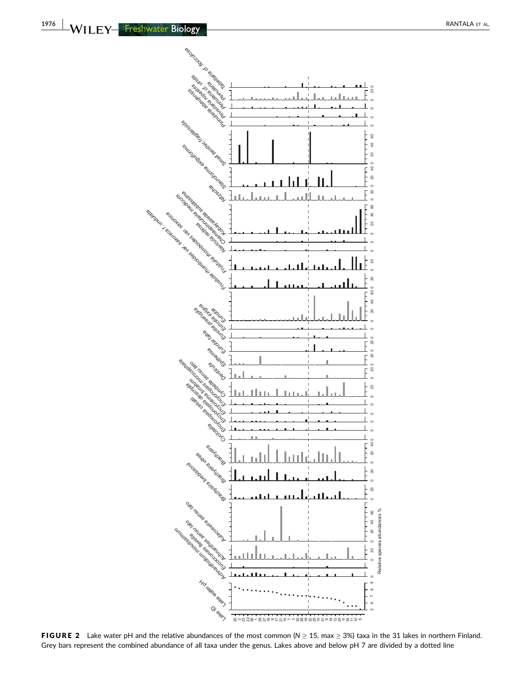

FIGURE 2 Lake water pH and the relative abundances of the most common ( $N \ge 15$ , max  $\ge 3\%$ ) taxa in the 31 lakes in northern Finland. Grey bars represent the combined abundance of all taxa under the genus. Lakes above and below pH 7 are divided by a dotted line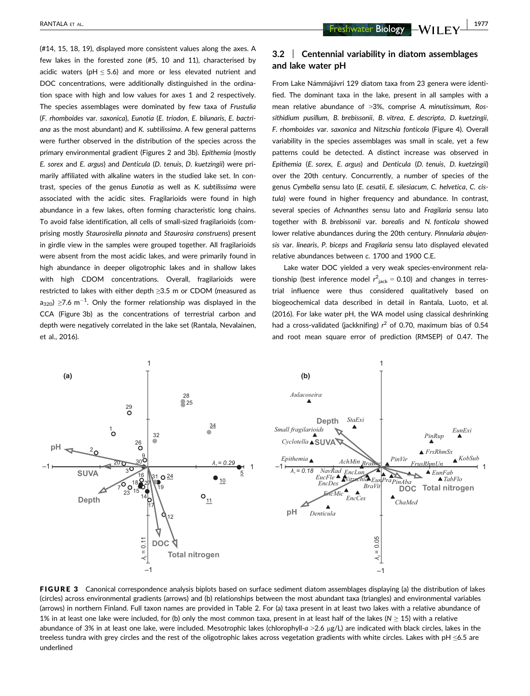(#14, 15, 18, 19), displayed more consistent values along the axes. A few lakes in the forested zone (#5, 10 and 11), characterised by acidic waters ( $pH \le 5.6$ ) and more or less elevated nutrient and DOC concentrations, were additionally distinguished in the ordination space with high and low values for axes 1 and 2 respectively. The species assemblages were dominated by few taxa of Frustulia (F. rhomboides var. saxonica), Eunotia (E. triodon, E. bilunaris, E. bactriana as the most abundant) and K. subtilissima. A few general patterns were further observed in the distribution of the species across the primary environmental gradient (Figures 2 and 3b). Epithemia (mostly E. sorex and E. argus) and Denticula (D. tenuis, D. kuetzingii) were primarily affiliated with alkaline waters in the studied lake set. In contrast, species of the genus Eunotia as well as K. subtilissima were associated with the acidic sites. Fragilarioids were found in high abundance in a few lakes, often forming characteristic long chains. To avoid false identification, all cells of small-sized fragilarioids (comprising mostly Staurosirella pinnata and Staurosira construens) present in girdle view in the samples were grouped together. All fragilarioids were absent from the most acidic lakes, and were primarily found in high abundance in deeper oligotrophic lakes and in shallow lakes with high CDOM concentrations. Overall, fragilarioids were restricted to lakes with either depth ≥3.5 m or CDOM (measured as a $_{320}$ ) ≥7.6 m $^{-1}$ . Only the former relationship was displayed in the CCA (Figure 3b) as the concentrations of terrestrial carbon and depth were negatively correlated in the lake set (Rantala, Nevalainen, et al., 2016).

RANTALA ET AL. 2007

# 3.2 | Centennial variability in diatom assemblages and lake water pH

From Lake Námmájávri 129 diatom taxa from 23 genera were identified. The dominant taxa in the lake, present in all samples with a mean relative abundance of >3%, comprise A. minutissimum, Rossithidium pusillum, B. brebissonii, B. vitrea, E. descripta, D. kuetzingii, F. rhomboides var. saxonica and Nitzschia fonticola (Figure 4). Overall variability in the species assemblages was small in scale, yet a few patterns could be detected. A distinct increase was observed in Epithemia (E. sorex, E. argus) and Denticula (D. tenuis, D. kuetzingii) over the 20th century. Concurrently, a number of species of the genus Cymbella sensu lato (E. cesatii, E. silesiacum, C. helvetica, C. cistula) were found in higher frequency and abundance. In contrast, several species of Achnanthes sensu lato and Fragilaria sensu lato together with B. brebissonii var. borealis and N. fonticola showed lower relative abundances during the 20th century. Pinnularia abujensis var. linearis, P. biceps and Fragilaria sensu lato displayed elevated relative abundances between c. 1700 and 1900 C.E.

Lake water DOC yielded a very weak species-environment relationship (best inference model  $r_{\text{jack}}^2 = 0.10$ ) and changes in terrestrial influence were thus considered qualitatively based on biogeochemical data described in detail in Rantala, Luoto, et al. (2016). For lake water pH, the WA model using classical deshrinking had a cross-validated (jackknifing)  $r^2$  of 0.70, maximum bias of 0.54 and root mean square error of prediction (RMSEP) of 0.47. The



FIGURE 3 Canonical correspondence analysis biplots based on surface sediment diatom assemblages displaying (a) the distribution of lakes (circles) across environmental gradients (arrows) and (b) relationships between the most abundant taxa (triangles) and environmental variables (arrows) in northern Finland. Full taxon names are provided in Table 2. For (a) taxa present in at least two lakes with a relative abundance of 1% in at least one lake were included, for (b) only the most common taxa, present in at least half of the lakes (N  $\geq$  15) with a relative abundance of 3% in at least one lake, were included. Mesotrophic lakes (chlorophyll-a >2.6 µg/L) are indicated with black circles, lakes in the treeless tundra with grey circles and the rest of the oligotrophic lakes across vegetation gradients with white circles. Lakes with pH ≤6.5 are underlined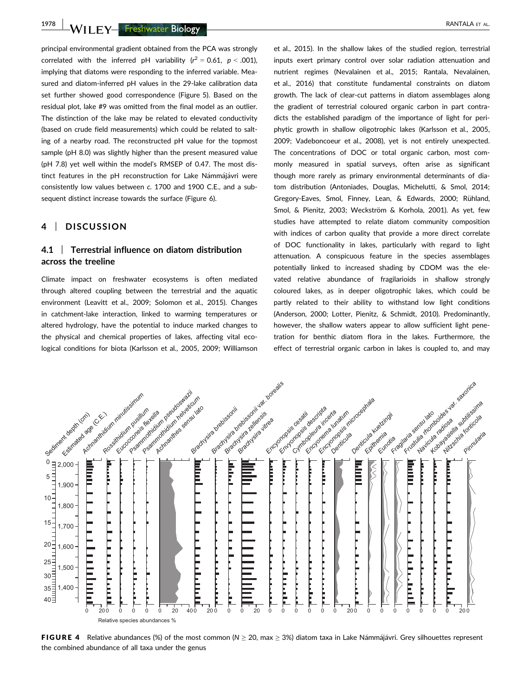1978 NVILEY— Freshwater Biology Network (1978 New York of the RANTALA ET AL.

principal environmental gradient obtained from the PCA was strongly correlated with the inferred pH variability  $(r^2 = 0.61, p < .001)$ , implying that diatoms were responding to the inferred variable. Measured and diatom-inferred pH values in the 29-lake calibration data set further showed good correspondence (Figure 5). Based on the residual plot, lake #9 was omitted from the final model as an outlier. The distinction of the lake may be related to elevated conductivity (based on crude field measurements) which could be related to salting of a nearby road. The reconstructed pH value for the topmost sample (pH 8.0) was slightly higher than the present measured value (pH 7.8) yet well within the model's RMSEP of 0.47. The most distinct features in the pH reconstruction for Lake Námmájávri were consistently low values between c. 1700 and 1900 C.E., and a subsequent distinct increase towards the surface (Figure 6).

## 4 | DISCUSSION

## 4.1 | Terrestrial influence on diatom distribution across the treeline

Climate impact on freshwater ecosystems is often mediated through altered coupling between the terrestrial and the aquatic environment (Leavitt et al., 2009; Solomon et al., 2015). Changes in catchment-lake interaction, linked to warming temperatures or altered hydrology, have the potential to induce marked changes to the physical and chemical properties of lakes, affecting vital ecological conditions for biota (Karlsson et al., 2005, 2009; Williamson et al., 2015). In the shallow lakes of the studied region, terrestrial inputs exert primary control over solar radiation attenuation and nutrient regimes (Nevalainen et al., 2015; Rantala, Nevalainen, et al., 2016) that constitute fundamental constraints on diatom growth. The lack of clear-cut patterns in diatom assemblages along the gradient of terrestrial coloured organic carbon in part contradicts the established paradigm of the importance of light for periphytic growth in shallow oligotrophic lakes (Karlsson et al., 2005, 2009; Vadeboncoeur et al., 2008), yet is not entirely unexpected. The concentrations of DOC or total organic carbon, most commonly measured in spatial surveys, often arise as significant though more rarely as primary environmental determinants of diatom distribution (Antoniades, Douglas, Michelutti, & Smol, 2014; Gregory-Eaves, Smol, Finney, Lean, & Edwards, 2000; Rühland, Smol, & Pienitz, 2003; Weckström & Korhola, 2001). As yet, few studies have attempted to relate diatom community composition with indices of carbon quality that provide a more direct correlate of DOC functionality in lakes, particularly with regard to light attenuation. A conspicuous feature in the species assemblages potentially linked to increased shading by CDOM was the elevated relative abundance of fragilarioids in shallow strongly coloured lakes, as in deeper oligotrophic lakes, which could be partly related to their ability to withstand low light conditions (Anderson, 2000; Lotter, Pienitz, & Schmidt, 2010). Predominantly, however, the shallow waters appear to allow sufficient light penetration for benthic diatom flora in the lakes. Furthermore, the effect of terrestrial organic carbon in lakes is coupled to, and may



FIGURE 4 Relative abundances (%) of the most common ( $N \geq 20$ , max  $\geq 3$ %) diatom taxa in Lake Námmájávri. Grey silhouettes represent the combined abundance of all taxa under the genus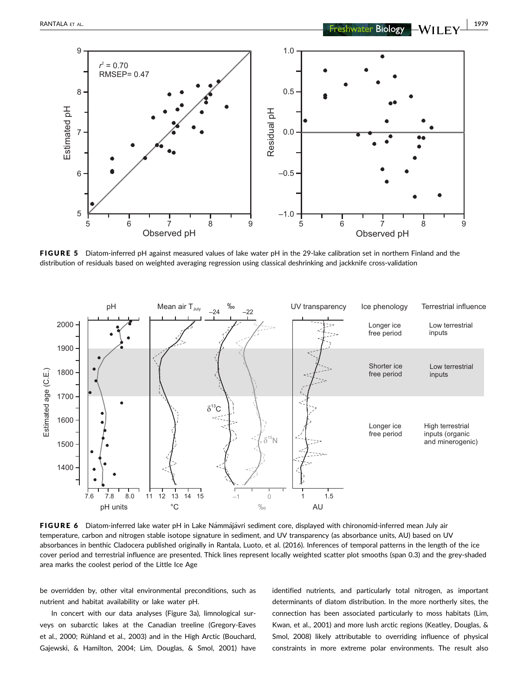

FIGURE 5 Diatom-inferred pH against measured values of lake water pH in the 29-lake calibration set in northern Finland and the distribution of residuals based on weighted averaging regression using classical deshrinking and jackknife cross-validation



FIGURE 6 Diatom-inferred lake water pH in Lake Námmájávri sediment core, displayed with chironomid-inferred mean July air temperature, carbon and nitrogen stable isotope signature in sediment, and UV transparency (as absorbance units, AU) based on UV absorbances in benthic Cladocera published originally in Rantala, Luoto, et al. (2016). Inferences of temporal patterns in the length of the ice cover period and terrestrial influence are presented. Thick lines represent locally weighted scatter plot smooths (span 0.3) and the grey-shaded area marks the coolest period of the Little Ice Age

be overridden by, other vital environmental preconditions, such as nutrient and habitat availability or lake water pH.

In concert with our data analyses (Figure 3a), limnological surveys on subarctic lakes at the Canadian treeline (Gregory-Eaves et al., 2000; Rühland et al., 2003) and in the High Arctic (Bouchard, Gajewski, & Hamilton, 2004; Lim, Douglas, & Smol, 2001) have identified nutrients, and particularly total nitrogen, as important determinants of diatom distribution. In the more northerly sites, the connection has been associated particularly to moss habitats (Lim, Kwan, et al., 2001) and more lush arctic regions (Keatley, Douglas, & Smol, 2008) likely attributable to overriding influence of physical constraints in more extreme polar environments. The result also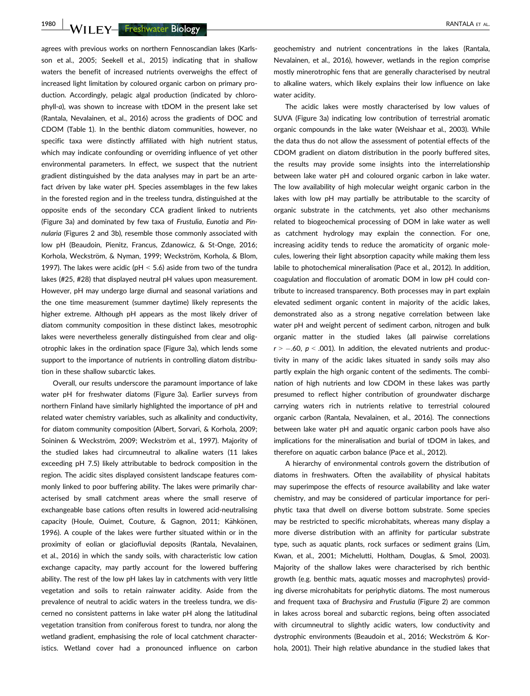1980 WILEY Freshwater Biology **| ALCOCO CONTROL** 

agrees with previous works on northern Fennoscandian lakes (Karlsson et al., 2005; Seekell et al., 2015) indicating that in shallow waters the benefit of increased nutrients overweighs the effect of increased light limitation by coloured organic carbon on primary production. Accordingly, pelagic algal production (indicated by chlorophyll-a), was shown to increase with tDOM in the present lake set (Rantala, Nevalainen, et al., 2016) across the gradients of DOC and CDOM (Table 1). In the benthic diatom communities, however, no specific taxa were distinctly affiliated with high nutrient status, which may indicate confounding or overriding influence of yet other environmental parameters. In effect, we suspect that the nutrient gradient distinguished by the data analyses may in part be an artefact driven by lake water pH. Species assemblages in the few lakes in the forested region and in the treeless tundra, distinguished at the opposite ends of the secondary CCA gradient linked to nutrients (Figure 3a) and dominated by few taxa of Frustulia, Eunotia and Pinnularia (Figures 2 and 3b), resemble those commonly associated with low pH (Beaudoin, Pienitz, Francus, Zdanowicz, & St-Onge, 2016; Korhola, Weckström, & Nyman, 1999; Weckström, Korhola, & Blom, 1997). The lakes were acidic (pH  $<$  5.6) aside from two of the tundra lakes (#25, #28) that displayed neutral pH values upon measurement. However, pH may undergo large diurnal and seasonal variations and the one time measurement (summer daytime) likely represents the higher extreme. Although pH appears as the most likely driver of diatom community composition in these distinct lakes, mesotrophic lakes were nevertheless generally distinguished from clear and oligotrophic lakes in the ordination space (Figure 3a), which lends some support to the importance of nutrients in controlling diatom distribution in these shallow subarctic lakes.

Overall, our results underscore the paramount importance of lake water pH for freshwater diatoms (Figure 3a). Earlier surveys from northern Finland have similarly highlighted the importance of pH and related water chemistry variables, such as alkalinity and conductivity, for diatom community composition (Albert, Sorvari, & Korhola, 2009; Soininen & Weckström, 2009; Weckström et al., 1997). Majority of the studied lakes had circumneutral to alkaline waters (11 lakes exceeding pH 7.5) likely attributable to bedrock composition in the region. The acidic sites displayed consistent landscape features commonly linked to poor buffering ability. The lakes were primarily characterised by small catchment areas where the small reserve of exchangeable base cations often results in lowered acid-neutralising capacity (Houle, Ouimet, Couture, & Gagnon, 2011; Kähkönen, 1996). A couple of the lakes were further situated within or in the proximity of eolian or glaciofluvial deposits (Rantala, Nevalainen, et al., 2016) in which the sandy soils, with characteristic low cation exchange capacity, may partly account for the lowered buffering ability. The rest of the low pH lakes lay in catchments with very little vegetation and soils to retain rainwater acidity. Aside from the prevalence of neutral to acidic waters in the treeless tundra, we discerned no consistent patterns in lake water pH along the latitudinal vegetation transition from coniferous forest to tundra, nor along the wetland gradient, emphasising the role of local catchment characteristics. Wetland cover had a pronounced influence on carbon

geochemistry and nutrient concentrations in the lakes (Rantala, Nevalainen, et al., 2016), however, wetlands in the region comprise mostly minerotrophic fens that are generally characterised by neutral to alkaline waters, which likely explains their low influence on lake water acidity.

The acidic lakes were mostly characterised by low values of SUVA (Figure 3a) indicating low contribution of terrestrial aromatic organic compounds in the lake water (Weishaar et al., 2003). While the data thus do not allow the assessment of potential effects of the CDOM gradient on diatom distribution in the poorly buffered sites, the results may provide some insights into the interrelationship between lake water pH and coloured organic carbon in lake water. The low availability of high molecular weight organic carbon in the lakes with low pH may partially be attributable to the scarcity of organic substrate in the catchments, yet also other mechanisms related to biogeochemical processing of DOM in lake water as well as catchment hydrology may explain the connection. For one, increasing acidity tends to reduce the aromaticity of organic molecules, lowering their light absorption capacity while making them less labile to photochemical mineralisation (Pace et al., 2012). In addition, coagulation and flocculation of aromatic DOM in low pH could contribute to increased transparency. Both processes may in part explain elevated sediment organic content in majority of the acidic lakes, demonstrated also as a strong negative correlation between lake water pH and weight percent of sediment carbon, nitrogen and bulk organic matter in the studied lakes (all pairwise correlations  $r > -.60$ ,  $p < .001$ ). In addition, the elevated nutrients and productivity in many of the acidic lakes situated in sandy soils may also partly explain the high organic content of the sediments. The combination of high nutrients and low CDOM in these lakes was partly presumed to reflect higher contribution of groundwater discharge carrying waters rich in nutrients relative to terrestrial coloured organic carbon (Rantala, Nevalainen, et al., 2016). The connections between lake water pH and aquatic organic carbon pools have also implications for the mineralisation and burial of tDOM in lakes, and therefore on aquatic carbon balance (Pace et al., 2012).

A hierarchy of environmental controls govern the distribution of diatoms in freshwaters. Often the availability of physical habitats may superimpose the effects of resource availability and lake water chemistry, and may be considered of particular importance for periphytic taxa that dwell on diverse bottom substrate. Some species may be restricted to specific microhabitats, whereas many display a more diverse distribution with an affinity for particular substrate type, such as aquatic plants, rock surfaces or sediment grains (Lim, Kwan, et al., 2001; Michelutti, Holtham, Douglas, & Smol, 2003). Majority of the shallow lakes were characterised by rich benthic growth (e.g. benthic mats, aquatic mosses and macrophytes) providing diverse microhabitats for periphytic diatoms. The most numerous and frequent taxa of Brachysira and Frustulia (Figure 2) are common in lakes across boreal and subarctic regions, being often associated with circumneutral to slightly acidic waters, low conductivity and dystrophic environments (Beaudoin et al., 2016; Weckström & Korhola, 2001). Their high relative abundance in the studied lakes that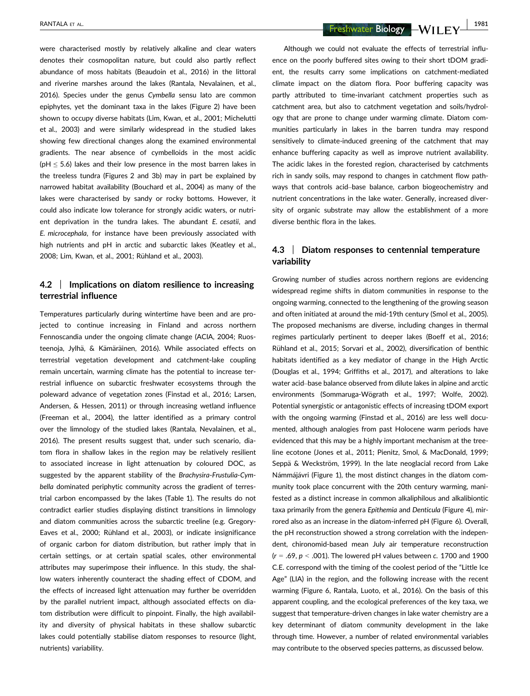were characterised mostly by relatively alkaline and clear waters denotes their cosmopolitan nature, but could also partly reflect abundance of moss habitats (Beaudoin et al., 2016) in the littoral and riverine marshes around the lakes (Rantala, Nevalainen, et al., 2016). Species under the genus Cymbella sensu lato are common epiphytes, yet the dominant taxa in the lakes (Figure 2) have been shown to occupy diverse habitats (Lim, Kwan, et al., 2001; Michelutti et al., 2003) and were similarly widespread in the studied lakes showing few directional changes along the examined environmental gradients. The near absence of cymbelloids in the most acidic ( $pH \le 5.6$ ) lakes and their low presence in the most barren lakes in the treeless tundra (Figures 2 and 3b) may in part be explained by narrowed habitat availability (Bouchard et al., 2004) as many of the lakes were characterised by sandy or rocky bottoms. However, it could also indicate low tolerance for strongly acidic waters, or nutrient deprivation in the tundra lakes. The abundant E. cesatii, and E. microcephala, for instance have been previously associated with high nutrients and pH in arctic and subarctic lakes (Keatley et al., 2008; Lim, Kwan, et al., 2001; Rühland et al., 2003).

# 4.2 | Implications on diatom resilience to increasing terrestrial influence

Temperatures particularly during wintertime have been and are projected to continue increasing in Finland and across northern Fennoscandia under the ongoing climate change (ACIA, 2004; Ruosteenoja, Jylhä, & Kämäräinen, 2016). While associated effects on terrestrial vegetation development and catchment-lake coupling remain uncertain, warming climate has the potential to increase terrestrial influence on subarctic freshwater ecosystems through the poleward advance of vegetation zones (Finstad et al., 2016; Larsen, Andersen, & Hessen, 2011) or through increasing wetland influence (Freeman et al., 2004), the latter identified as a primary control over the limnology of the studied lakes (Rantala, Nevalainen, et al., 2016). The present results suggest that, under such scenario, diatom flora in shallow lakes in the region may be relatively resilient to associated increase in light attenuation by coloured DOC, as suggested by the apparent stability of the Brachysira-Frustulia-Cymbella dominated periphytic community across the gradient of terrestrial carbon encompassed by the lakes (Table 1). The results do not contradict earlier studies displaying distinct transitions in limnology and diatom communities across the subarctic treeline (e.g. Gregory-Eaves et al., 2000; Rühland et al., 2003), or indicate insignificance of organic carbon for diatom distribution, but rather imply that in certain settings, or at certain spatial scales, other environmental attributes may superimpose their influence. In this study, the shallow waters inherently counteract the shading effect of CDOM, and the effects of increased light attenuation may further be overridden by the parallel nutrient impact, although associated effects on diatom distribution were difficult to pinpoint. Finally, the high availability and diversity of physical habitats in these shallow subarctic lakes could potentially stabilise diatom responses to resource (light, nutrients) variability.

RANTALA ET AL. 1981

Although we could not evaluate the effects of terrestrial influence on the poorly buffered sites owing to their short tDOM gradient, the results carry some implications on catchment-mediated climate impact on the diatom flora. Poor buffering capacity was partly attributed to time-invariant catchment properties such as catchment area, but also to catchment vegetation and soils/hydrology that are prone to change under warming climate. Diatom communities particularly in lakes in the barren tundra may respond sensitively to climate-induced greening of the catchment that may enhance buffering capacity as well as improve nutrient availability. The acidic lakes in the forested region, characterised by catchments rich in sandy soils, may respond to changes in catchment flow pathways that controls acid–base balance, carbon biogeochemistry and nutrient concentrations in the lake water. Generally, increased diversity of organic substrate may allow the establishment of a more diverse benthic flora in the lakes.

# 4.3 | Diatom responses to centennial temperature variability

Growing number of studies across northern regions are evidencing widespread regime shifts in diatom communities in response to the ongoing warming, connected to the lengthening of the growing season and often initiated at around the mid-19th century (Smol et al., 2005). The proposed mechanisms are diverse, including changes in thermal regimes particularly pertinent to deeper lakes (Boeff et al., 2016; Rühland et al., 2015; Sorvari et al., 2002), diversification of benthic habitats identified as a key mediator of change in the High Arctic (Douglas et al., 1994; Griffiths et al., 2017), and alterations to lake water acid–base balance observed from dilute lakes in alpine and arctic environments (Sommaruga-Wögrath et al., 1997; Wolfe, 2002). Potential synergistic or antagonistic effects of increasing tDOM export with the ongoing warming (Finstad et al., 2016) are less well documented, although analogies from past Holocene warm periods have evidenced that this may be a highly important mechanism at the treeline ecotone (Jones et al., 2011; Pienitz, Smol, & MacDonald, 1999; Seppä & Weckström, 1999). In the late neoglacial record from Lake Námmájávri (Figure 1), the most distinct changes in the diatom community took place concurrent with the 20th century warming, manifested as a distinct increase in common alkaliphilous and alkalibiontic taxa primarily from the genera Epithemia and Denticula (Figure 4), mirrored also as an increase in the diatom-inferred pH (Figure 6). Overall, the pH reconstruction showed a strong correlation with the independent, chironomid-based mean July air temperature reconstruction  $(r = .69, p < .001)$ . The lowered pH values between c. 1700 and 1900 C.E. correspond with the timing of the coolest period of the "Little Ice Age" (LIA) in the region, and the following increase with the recent warming (Figure 6, Rantala, Luoto, et al., 2016). On the basis of this apparent coupling, and the ecological preferences of the key taxa, we suggest that temperature-driven changes in lake water chemistry are a key determinant of diatom community development in the lake through time. However, a number of related environmental variables may contribute to the observed species patterns, as discussed below.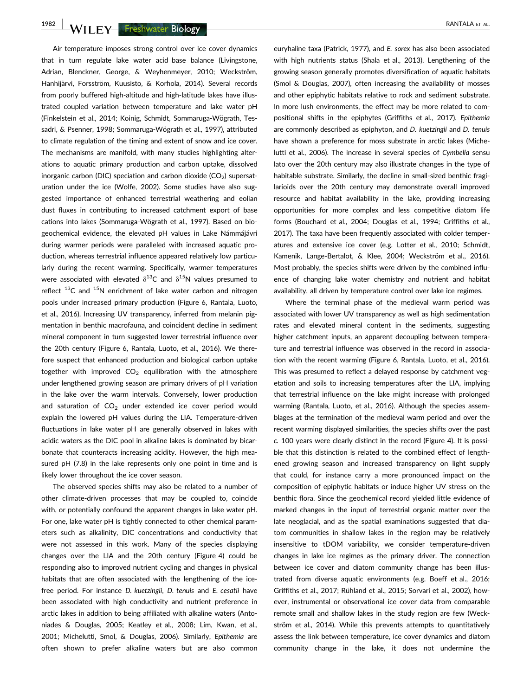1982 WII F.Y. Freshwater Biology **| Alliance Contract Contract Contract Contract Contract Contract Contract Contract Contract Contract Contract Contract Contract Contract Contract Contract Contract Contract Contract Contra** 

Air temperature imposes strong control over ice cover dynamics that in turn regulate lake water acid–base balance (Livingstone, Adrian, Blenckner, George, & Weyhenmeyer, 2010; Weckström, Hanhijärvi, Forsström, Kuusisto, & Korhola, 2014). Several records from poorly buffered high-altitude and high-latitude lakes have illustrated coupled variation between temperature and lake water pH (Finkelstein et al., 2014; Koinig, Schmidt, Sommaruga-Wögrath, Tessadri, & Psenner, 1998; Sommaruga-Wögrath et al., 1997), attributed to climate regulation of the timing and extent of snow and ice cover. The mechanisms are manifold, with many studies highlighting alterations to aquatic primary production and carbon uptake, dissolved inorganic carbon (DIC) speciation and carbon dioxide  $(CO<sub>2</sub>)$  supersaturation under the ice (Wolfe, 2002). Some studies have also suggested importance of enhanced terrestrial weathering and eolian dust fluxes in contributing to increased catchment export of base cations into lakes (Sommaruga-Wögrath et al., 1997). Based on biogeochemical evidence, the elevated pH values in Lake Námmájávri during warmer periods were paralleled with increased aquatic production, whereas terrestrial influence appeared relatively low particularly during the recent warming. Specifically, warmer temperatures were associated with elevated  $\delta^{13}C$  and  $\delta^{15}N$  values presumed to reflect  $^{13}$ C and  $^{15}$ N enrichment of lake water carbon and nitrogen pools under increased primary production (Figure 6, Rantala, Luoto, et al., 2016). Increasing UV transparency, inferred from melanin pigmentation in benthic macrofauna, and coincident decline in sediment mineral component in turn suggested lower terrestrial influence over the 20th century (Figure 6, Rantala, Luoto, et al., 2016). We therefore suspect that enhanced production and biological carbon uptake together with improved  $CO<sub>2</sub>$  equilibration with the atmosphere under lengthened growing season are primary drivers of pH variation in the lake over the warm intervals. Conversely, lower production and saturation of  $CO<sub>2</sub>$  under extended ice cover period would explain the lowered pH values during the LIA. Temperature-driven fluctuations in lake water pH are generally observed in lakes with acidic waters as the DIC pool in alkaline lakes is dominated by bicarbonate that counteracts increasing acidity. However, the high measured pH (7.8) in the lake represents only one point in time and is likely lower throughout the ice cover season.

The observed species shifts may also be related to a number of other climate-driven processes that may be coupled to, coincide with, or potentially confound the apparent changes in lake water pH. For one, lake water pH is tightly connected to other chemical parameters such as alkalinity, DIC concentrations and conductivity that were not assessed in this work. Many of the species displaying changes over the LIA and the 20th century (Figure 4) could be responding also to improved nutrient cycling and changes in physical habitats that are often associated with the lengthening of the icefree period. For instance D. kuetzingii, D. tenuis and E. cesatii have been associated with high conductivity and nutrient preference in arctic lakes in addition to being affiliated with alkaline waters (Antoniades & Douglas, 2005; Keatley et al., 2008; Lim, Kwan, et al., 2001; Michelutti, Smol, & Douglas, 2006). Similarly, Epithemia are often shown to prefer alkaline waters but are also common

euryhaline taxa (Patrick, 1977), and E. sorex has also been associated with high nutrients status (Shala et al., 2013). Lengthening of the growing season generally promotes diversification of aquatic habitats (Smol & Douglas, 2007), often increasing the availability of mosses and other epiphytic habitats relative to rock and sediment substrate. In more lush environments, the effect may be more related to compositional shifts in the epiphytes (Griffiths et al., 2017). Epithemia are commonly described as epiphyton, and D. kuetzingii and D. tenuis have shown a preference for moss substrate in arctic lakes (Michelutti et al., 2006). The increase in several species of Cymbella sensu lato over the 20th century may also illustrate changes in the type of habitable substrate. Similarly, the decline in small-sized benthic fragilarioids over the 20th century may demonstrate overall improved resource and habitat availability in the lake, providing increasing opportunities for more complex and less competitive diatom life forms (Bouchard et al., 2004; Douglas et al., 1994; Griffiths et al., 2017). The taxa have been frequently associated with colder temperatures and extensive ice cover (e.g. Lotter et al., 2010; Schmidt, Kamenik, Lange-Bertalot, & Klee, 2004; Weckström et al., 2016). Most probably, the species shifts were driven by the combined influence of changing lake water chemistry and nutrient and habitat availability, all driven by temperature control over lake ice regimes.

Where the terminal phase of the medieval warm period was associated with lower UV transparency as well as high sedimentation rates and elevated mineral content in the sediments, suggesting higher catchment inputs, an apparent decoupling between temperature and terrestrial influence was observed in the record in association with the recent warming (Figure 6, Rantala, Luoto, et al., 2016). This was presumed to reflect a delayed response by catchment vegetation and soils to increasing temperatures after the LIA, implying that terrestrial influence on the lake might increase with prolonged warming (Rantala, Luoto, et al., 2016). Although the species assemblages at the termination of the medieval warm period and over the recent warming displayed similarities, the species shifts over the past c. 100 years were clearly distinct in the record (Figure 4). It is possible that this distinction is related to the combined effect of lengthened growing season and increased transparency on light supply that could, for instance carry a more pronounced impact on the composition of epiphytic habitats or induce higher UV stress on the benthic flora. Since the geochemical record yielded little evidence of marked changes in the input of terrestrial organic matter over the late neoglacial, and as the spatial examinations suggested that diatom communities in shallow lakes in the region may be relatively insensitive to tDOM variability, we consider temperature-driven changes in lake ice regimes as the primary driver. The connection between ice cover and diatom community change has been illustrated from diverse aquatic environments (e.g. Boeff et al., 2016; Griffiths et al., 2017; Rühland et al., 2015; Sorvari et al., 2002), however, instrumental or observational ice cover data from comparable remote small and shallow lakes in the study region are few (Weckström et al., 2014). While this prevents attempts to quantitatively assess the link between temperature, ice cover dynamics and diatom community change in the lake, it does not undermine the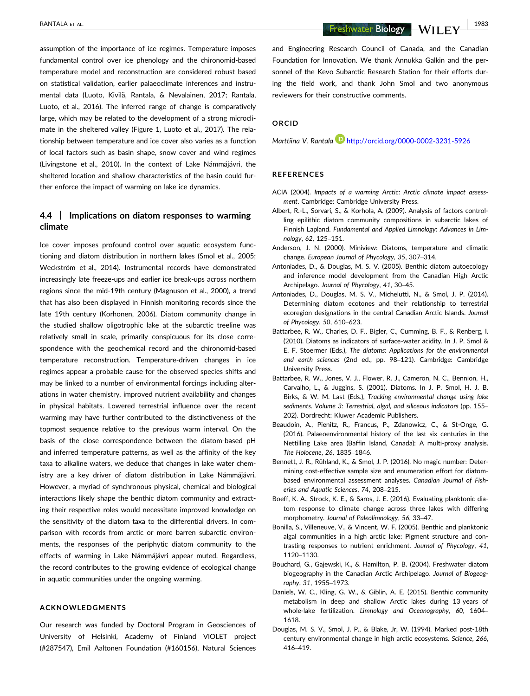RANTALA ET AL. | 1983

assumption of the importance of ice regimes. Temperature imposes fundamental control over ice phenology and the chironomid-based temperature model and reconstruction are considered robust based on statistical validation, earlier palaeoclimate inferences and instrumental data (Luoto, Kivilä, Rantala, & Nevalainen, 2017; Rantala, Luoto, et al., 2016). The inferred range of change is comparatively large, which may be related to the development of a strong microclimate in the sheltered valley (Figure 1, Luoto et al., 2017). The relationship between temperature and ice cover also varies as a function of local factors such as basin shape, snow cover and wind regimes (Livingstone et al., 2010). In the context of Lake Námmájávri, the sheltered location and shallow characteristics of the basin could further enforce the impact of warming on lake ice dynamics.

# 4.4 | Implications on diatom responses to warming climate

Ice cover imposes profound control over aquatic ecosystem functioning and diatom distribution in northern lakes (Smol et al., 2005; Weckström et al., 2014). Instrumental records have demonstrated increasingly late freeze-ups and earlier ice break-ups across northern regions since the mid-19th century (Magnuson et al., 2000), a trend that has also been displayed in Finnish monitoring records since the late 19th century (Korhonen, 2006). Diatom community change in the studied shallow oligotrophic lake at the subarctic treeline was relatively small in scale, primarily conspicuous for its close correspondence with the geochemical record and the chironomid-based temperature reconstruction. Temperature-driven changes in ice regimes appear a probable cause for the observed species shifts and may be linked to a number of environmental forcings including alterations in water chemistry, improved nutrient availability and changes in physical habitats. Lowered terrestrial influence over the recent warming may have further contributed to the distinctiveness of the topmost sequence relative to the previous warm interval. On the basis of the close correspondence between the diatom-based pH and inferred temperature patterns, as well as the affinity of the key taxa to alkaline waters, we deduce that changes in lake water chemistry are a key driver of diatom distribution in Lake Námmájávri. However, a myriad of synchronous physical, chemical and biological interactions likely shape the benthic diatom community and extracting their respective roles would necessitate improved knowledge on the sensitivity of the diatom taxa to the differential drivers. In comparison with records from arctic or more barren subarctic environments, the responses of the periphytic diatom community to the effects of warming in Lake Námmájávri appear muted. Regardless, the record contributes to the growing evidence of ecological change in aquatic communities under the ongoing warming.

#### ACKNOWLEDGMENTS

Our research was funded by Doctoral Program in Geosciences of University of Helsinki, Academy of Finland VIOLET project (#287547), Emil Aaltonen Foundation (#160156), Natural Sciences and Engineering Research Council of Canada, and the Canadian Foundation for Innovation. We thank Annukka Galkin and the personnel of the Kevo Subarctic Research Station for their efforts during the field work, and thank John Smol and two anonymous reviewers for their constructive comments.

## ORCID

Marttiina V. Rantala http://orcid.org/0000-0002-3231-5926

#### REFERENCES

- ACIA (2004). Impacts of a warming Arctic: Arctic climate impact assessment. Cambridge: Cambridge University Press.
- Albert, R.-L., Sorvari, S., & Korhola, A. (2009). Analysis of factors controlling epilithic diatom community compositions in subarctic lakes of Finnish Lapland. Fundamental and Applied Limnology: Advances in Limnology, 62, 125–151.
- Anderson, J. N. (2000). Miniview: Diatoms, temperature and climatic change. European Journal of Phycology, 35, 307–314.
- Antoniades, D., & Douglas, M. S. V. (2005). Benthic diatom autoecology and inference model development from the Canadian High Arctic Archipelago. Journal of Phycology, 41, 30–45.
- Antoniades, D., Douglas, M. S. V., Michelutti, N., & Smol, J. P. (2014). Determining diatom ecotones and their relationship to terrestrial ecoregion designations in the central Canadian Arctic Islands. Journal of Phycology, 50, 610–623.
- Battarbee, R. W., Charles, D. F., Bigler, C., Cumming, B. F., & Renberg, I. (2010). Diatoms as indicators of surface-water acidity. In J. P. Smol & E. F. Stoermer (Eds.), The diatoms: Applications for the environmental and earth sciences (2nd ed., pp. 98–121). Cambridge: Cambridge University Press.
- Battarbee, R. W., Jones, V. J., Flower, R. J., Cameron, N. C., Bennion, H., Carvalho, L., & Juggins, S. (2001). Diatoms. In J. P. Smol, H. J. B. Birks, & W. M. Last (Eds.), Tracking environmental change using lake sediments. Volume 3: Terrestrial, algal, and siliceous indicators (pp. 155– 202). Dordrecht: Kluwer Academic Publishers.
- Beaudoin, A., Pienitz, R., Francus, P., Zdanowicz, C., & St-Onge, G. (2016). Palaeoenvironmental history of the last six centuries in the Nettilling Lake area (Baffin Island, Canada): A multi-proxy analysis. The Holocene, 26, 1835–1846.
- Bennett, J. R., Rühland, K., & Smol, J. P. (2016). No magic number: Determining cost-effective sample size and enumeration effort for diatombased environmental assessment analyses. Canadian Journal of Fisheries and Aquatic Sciences, 74, 208–215.
- Boeff, K. A., Strock, K. E., & Saros, J. E. (2016). Evaluating planktonic diatom response to climate change across three lakes with differing morphometry. Journal of Paleolimnology, 56, 33–47.
- Bonilla, S., Villeneuve, V., & Vincent, W. F. (2005). Benthic and planktonic algal communities in a high arctic lake: Pigment structure and contrasting responses to nutrient enrichment. Journal of Phycology, 41, 1120–1130.
- Bouchard, G., Gajewski, K., & Hamilton, P. B. (2004). Freshwater diatom biogeography in the Canadian Arctic Archipelago. Journal of Biogeography, 31, 1955–1973.
- Daniels, W. C., Kling, G. W., & Giblin, A. E. (2015). Benthic community metabolism in deep and shallow Arctic lakes during 13 years of whole-lake fertilization. Limnology and Oceanography, 60, 1604– 1618.
- Douglas, M. S. V., Smol, J. P., & Blake, Jr, W. (1994). Marked post-18th century environmental change in high arctic ecosystems. Science, 266, 416–419.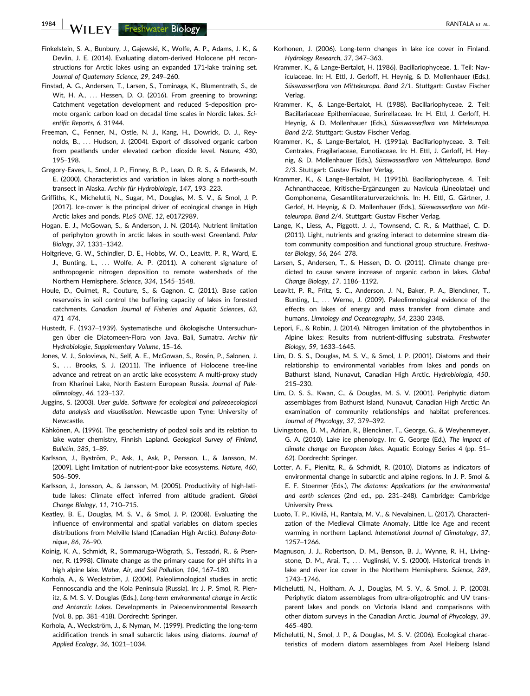1984 | WII F.Y. Freshwater Biology | RANTALA ET AL.

- Finkelstein, S. A., Bunbury, J., Gajewski, K., Wolfe, A. P., Adams, J. K., & Devlin, J. E. (2014). Evaluating diatom-derived Holocene pH reconstructions for Arctic lakes using an expanded 171-lake training set. Journal of Quaternary Science, 29, 249–260.
- Finstad, A. G., Andersen, T., Larsen, S., Tominaga, K., Blumentrath, S., de Wit, H. A., ... Hessen, D. O. (2016). From greening to browning: Catchment vegetation development and reduced S-deposition promote organic carbon load on decadal time scales in Nordic lakes. Scientific Reports, 6, 31944.
- Freeman, C., Fenner, N., Ostle, N. J., Kang, H., Dowrick, D. J., Reynolds, B., ... Hudson, J. (2004). Export of dissolved organic carbon from peatlands under elevated carbon dioxide level. Nature, 430, 195–198.
- Gregory-Eaves, I., Smol, J. P., Finney, B. P., Lean, D. R. S., & Edwards, M. E. (2000). Characteristics and variation in lakes along a north-south transect in Alaska. Archiv für Hydrobiologie, 147, 193-223.
- Griffiths, K., Michelutti, N., Sugar, M., Douglas, M. S. V., & Smol, J. P. (2017). Ice-cover is the principal driver of ecological change in High Arctic lakes and ponds. PLoS ONE, 12, e0172989.
- Hogan, E. J., McGowan, S., & Anderson, J. N. (2014). Nutrient limitation of periphyton growth in arctic lakes in south-west Greenland. Polar Biology, 37, 1331–1342.
- Holtgrieve, G. W., Schindler, D. E., Hobbs, W. O., Leavitt, P. R., Ward, E. J., Bunting, L., ... Wolfe, A. P. (2011). A coherent signature of anthropogenic nitrogen deposition to remote watersheds of the Northern Hemisphere. Science, 334, 1545–1548.
- Houle, D., Ouimet, R., Couture, S., & Gagnon, C. (2011). Base cation reservoirs in soil control the buffering capacity of lakes in forested catchments. Canadian Journal of Fisheries and Aquatic Sciences, 63, 471–474.
- Hustedt, F. (1937–1939). Systematische und ökologische Untersuchungen über die Diatomeen-Flora von Java, Bali, Sumatra. Archiv für Hydrobiologie, Supplementary Volume, 15–16.
- Jones, V. J., Solovieva, N., Self, A. E., McGowan, S., Rosén, P., Salonen, J. S., ... Brooks, S. J. (2011). The influence of Holocene tree-line advance and retreat on an arctic lake ecosystem: A multi-proxy study from Kharinei Lake, North Eastern European Russia. Journal of Paleolimnology, 46, 123–137.
- Juggins, S. (2003). User guide. Software for ecological and palaeoecological data analysis and visualisation. Newcastle upon Tyne: University of Newcastle.
- Kähkönen, A. (1996). The geochemistry of podzol soils and its relation to lake water chemistry, Finnish Lapland. Geological Survey of Finland, Bulletin, 385, 1–89.
- Karlsson, J., Byström, P., Ask, J., Ask, P., Persson, L., & Jansson, M. (2009). Light limitation of nutrient-poor lake ecosystems. Nature, 460, 506–509.
- Karlsson, J., Jonsson, A., & Jansson, M. (2005). Productivity of high-latitude lakes: Climate effect inferred from altitude gradient. Global Change Biology, 11, 710–715.
- Keatley, B. E., Douglas, M. S. V., & Smol, J. P. (2008). Evaluating the influence of environmental and spatial variables on diatom species distributions from Melville Island (Canadian High Arctic). Botany-Botanique, 86, 76–90.
- Koinig, K. A., Schmidt, R., Sommaruga-Wögrath, S., Tessadri, R., & Psenner, R. (1998). Climate change as the primary cause for pH shifts in a high alpine lake. Water, Air, and Soil Pollution, 104, 167–180.
- Korhola, A., & Weckström, J. (2004). Paleolimnological studies in arctic Fennoscandia and the Kola Peninsula (Russia). In: J. P. Smol, R. Pienitz, & M. S. V. Douglas (Eds.), Long-term environmental change in Arctic and Antarctic Lakes. Developments in Paleoenvironmental Research (Vol. 8, pp. 381–418). Dordrecht: Springer.
- Korhola, A., Weckström, J., & Nyman, M. (1999). Predicting the long-term acidification trends in small subarctic lakes using diatoms. Journal of Applied Ecology, 36, 1021–1034.
- Korhonen, J. (2006). Long-term changes in lake ice cover in Finland. Hydrology Research, 37, 347–363.
- Krammer, K., & Lange-Bertalot, H. (1986). Bacillariophyceae. 1. Teil: Naviculaceae. In: H. Ettl, J. Gerloff, H. Heynig, & D. Mollenhauer (Eds.), Süsswasserflora von Mitteleuropa. Band 2/1. Stuttgart: Gustav Fischer Verlag.
- Krammer, K., & Lange-Bertalot, H. (1988). Bacillariophyceae. 2. Teil: Bacillariaceae Epithemiaceae, Surirellaceae. In: H. Ettl, J. Gerloff, H. Heynig, & D. Mollenhauer (Eds.), Süsswasserflora von Mitteleuropa. Band 2/2. Stuttgart: Gustav Fischer Verlag.
- Krammer, K., & Lange-Bertalot, H. (1991a). Bacillariophyceae. 3. Teil: Centrales, Fragilariaceae, Eunotiaceae. In: H. Ettl, J. Gerloff, H. Heynig, & D. Mollenhauer (Eds.), Süsswasserflora von Mitteleuropa. Band 2/3. Stuttgart: Gustav Fischer Verlag.
- Krammer, K., & Lange-Bertalot, H. (1991b). Bacillariophyceae. 4. Teil: Achnanthaceae, Kritische-Ergänzungen zu Navicula (Lineolatae) und Gomphonema, Gesamtliteraturverzeichnis. In: H. Ettl, G. Gärtner, J. Gerlof. H. Heynig, & D. Mollenhauer (Eds.), Süsswasserflora von Mitteleuropa. Band 2/4. Stuttgart: Gustav Fischer Verlag.
- Lange, K., Liess, A., Piggott, J. J., Townsend, C. R., & Matthaei, C. D. (2011). Light, nutrients and grazing interact to determine stream diatom community composition and functional group structure. Freshwater Biology, 56, 264–278.
- Larsen, S., Andersen, T., & Hessen, D. O. (2011). Climate change predicted to cause severe increase of organic carbon in lakes. Global Change Biology, 17, 1186–1192.
- Leavitt, P. R., Fritz, S. C., Anderson, J. N., Baker, P. A., Blenckner, T., Bunting, L., ... Werne, J. (2009). Paleolimnological evidence of the effects on lakes of energy and mass transfer from climate and humans. Limnology and Oceanography, 54, 2330–2348.
- Lepori, F., & Robin, J. (2014). Nitrogen limitation of the phytobenthos in Alpine lakes: Results from nutrient-diffusing substrata. Freshwater Biology, 59, 1633–1645.
- Lim, D. S. S., Douglas, M. S. V., & Smol, J. P. (2001). Diatoms and their relationship to environmental variables from lakes and ponds on Bathurst Island, Nunavut, Canadian High Arctic. Hydrobiologia, 450, 215–230.
- Lim, D. S. S., Kwan, C., & Douglas, M. S. V. (2001). Periphytic diatom assemblages from Bathurst Island, Nunavut, Canadian High Arctic: An examination of community relationships and habitat preferences. Journal of Phycology, 37, 379–392.
- Livingstone, D. M., Adrian, R., Blenckner, T., George, G., & Weyhenmeyer, G. A. (2010). Lake ice phenology. In: G. George (Ed.), The impact of climate change on European lakes. Aquatic Ecology Series 4 (pp. 51– 62). Dordrecht: Springer.
- Lotter, A. F., Pienitz, R., & Schmidt, R. (2010). Diatoms as indicators of environmental change in subarctic and alpine regions. In J. P. Smol & E. F. Stoermer (Eds.), The diatoms: Applications for the environmental and earth sciences (2nd ed., pp. 231–248). Cambridge: Cambridge University Press.
- Luoto, T. P., Kivilä, H., Rantala, M. V., & Nevalainen, L. (2017). Characterization of the Medieval Climate Anomaly, Little Ice Age and recent warming in northern Lapland. International Journal of Climatology, 37, 1257–1266.
- Magnuson, J. J., Robertson, D. M., Benson, B. J., Wynne, R. H., Livingstone, D. M., Arai, T., ... Vuglinski, V. S. (2000). Historical trends in lake and river ice cover in the Northern Hemisphere. Science, 289, 1743–1746.
- Michelutti, N., Holtham, A. J., Douglas, M. S. V., & Smol, J. P. (2003). Periphytic diatom assemblages from ultra-oligotrophic and UV transparent lakes and ponds on Victoria Island and comparisons with other diatom surveys in the Canadian Arctic. Journal of Phycology, 39, 465–480.
- Michelutti, N., Smol, J. P., & Douglas, M. S. V. (2006). Ecological characteristics of modern diatom assemblages from Axel Heiberg Island